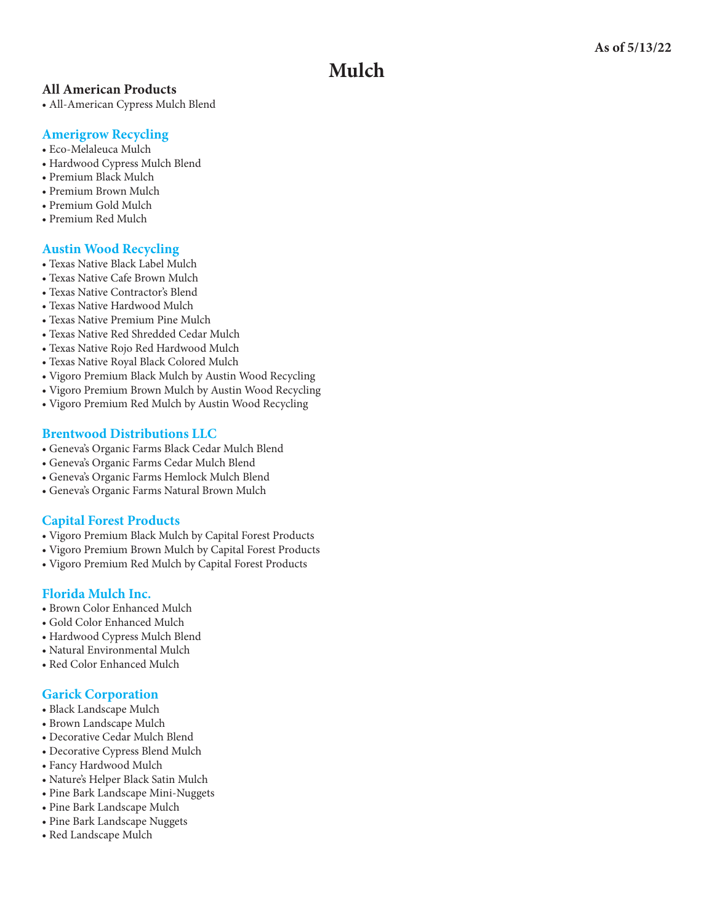# **Mulch**

### **All American Products**

• All-American Cypress Mulch Blend

### **[Amerigrow Recycling](http://www.amerigrow.com)**

- Eco-Melaleuca Mulch
- Hardwood Cypress Mulch Blend
- Premium Black Mulch
- Premium Brown Mulch
- Premium Gold Mulch
- Premium Red Mulch

# **[Austin Wood Recycling](http://www.austinwoodrecycling.com)**

- Texas Native Black Label Mulch
- Texas Native Cafe Brown Mulch
- Texas Native Contractor's Blend
- Texas Native Hardwood Mulch
- Texas Native Premium Pine Mulch
- Texas Native Red Shredded Cedar Mulch
- Texas Native Rojo Red Hardwood Mulch
- Texas Native Royal Black Colored Mulch
- Vigoro Premium Black Mulch by Austin Wood Recycling
- Vigoro Premium Brown Mulch by Austin Wood Recycling
- Vigoro Premium Red Mulch by Austin Wood Recycling

# **[Brentwood Distributions LLC](http://www.prmulch.com)**

- Geneva's Organic Farms Black Cedar Mulch Blend
- Geneva's Organic Farms Cedar Mulch Blend
- Geneva's Organic Farms Hemlock Mulch Blend
- Geneva's Organic Farms Natural Brown Mulch

# **[Capital Forest Products](capitalforest.com)**

- Vigoro Premium Black Mulch by Capital Forest Products
- Vigoro Premium Brown Mulch by Capital Forest Products
- Vigoro Premium Red Mulch by Capital Forest Products

# **[Florida Mulch Inc.](www.floridamulchonline.com)**

- Brown Color Enhanced Mulch
- Gold Color Enhanced Mulch
- Hardwood Cypress Mulch Blend
- Natural Environmental Mulch
- Red Color Enhanced Mulch

# **[Garick Corporation](http://www.garick.com)**

- Black Landscape Mulch
- Brown Landscape Mulch
- Decorative Cedar Mulch Blend
- Decorative Cypress Blend Mulch
- Fancy Hardwood Mulch
- Nature's Helper Black Satin Mulch
- Pine Bark Landscape Mini-Nuggets
- Pine Bark Landscape Mulch
- Pine Bark Landscape Nuggets
- Red Landscape Mulch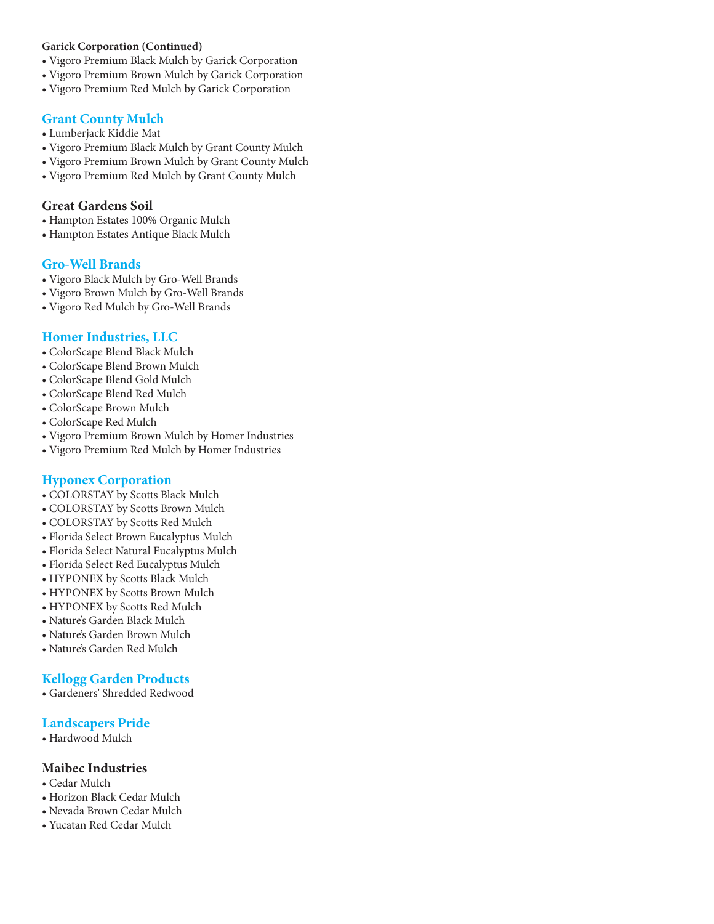#### **Garick Corporation (Continued)**

- Vigoro Premium Black Mulch by Garick Corporation
- Vigoro Premium Brown Mulch by Garick Corporation
- Vigoro Premium Red Mulch by Garick Corporation

#### **[Grant County Mulch](www.gcmulch.com)**

- Lumberjack Kiddie Mat
- Vigoro Premium Black Mulch by Grant County Mulch
- Vigoro Premium Brown Mulch by Grant County Mulch
- Vigoro Premium Red Mulch by Grant County Mulch

# **Great Gardens Soil**

- Hampton Estates 100% Organic Mulch
- Hampton Estates Antique Black Mulch

### **[Gro-Well Brands](http://www.gro-well.com/)**

- Vigoro Black Mulch by Gro-Well Brands
- Vigoro Brown Mulch by Gro-Well Brands
- Vigoro Red Mulch by Gro-Well Brands

# **[Homer Industries, LLC](www.homerindustries.com)**

- ColorScape Blend Black Mulch
- ColorScape Blend Brown Mulch
- ColorScape Blend Gold Mulch
- ColorScape Blend Red Mulch
- ColorScape Brown Mulch
- ColorScape Red Mulch
- Vigoro Premium Brown Mulch by Homer Industries
- Vigoro Premium Red Mulch by Homer Industries

#### **[Hyponex Corporation](http://www.scottsbrands.com)**

- COLORSTAY by Scotts Black Mulch
- COLORSTAY by Scotts Brown Mulch
- COLORSTAY by Scotts Red Mulch
- Florida Select Brown Eucalyptus Mulch
- Florida Select Natural Eucalyptus Mulch
- Florida Select Red Eucalyptus Mulch
- HYPONEX by Scotts Black Mulch
- HYPONEX by Scotts Brown Mulch
- HYPONEX by Scotts Red Mulch
- Nature's Garden Black Mulch
- Nature's Garden Brown Mulch
- Nature's Garden Red Mulch

# **[Kellogg Garden Products](http://www.kellogggarden.com)**

• Gardeners' Shredded Redwood

# **<Landscapers Pride>**

• Hardwood Mulch

#### **Maibec Industries**

- Cedar Mulch
- Horizon Black Cedar Mulch
- Nevada Brown Cedar Mulch
- Yucatan Red Cedar Mulch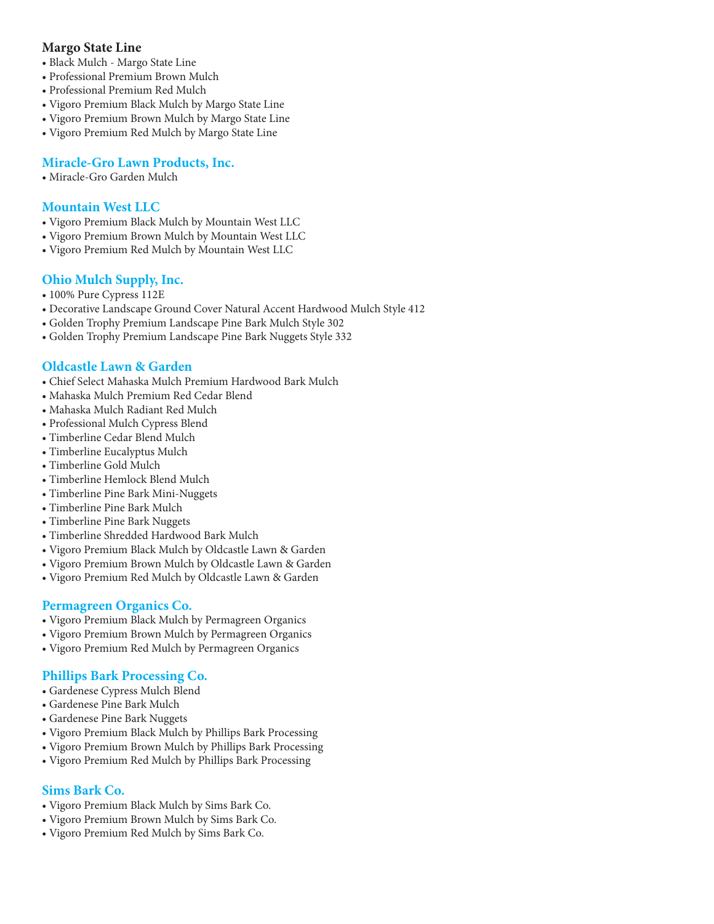# **Margo State Line**

- Black Mulch Margo State Line
- Professional Premium Brown Mulch
- Professional Premium Red Mulch
- Vigoro Premium Black Mulch by Margo State Line
- Vigoro Premium Brown Mulch by Margo State Line
- Vigoro Premium Red Mulch by Margo State Line

# **[Miracle-Gro Lawn Products, Inc.](http://www.miraclegro.com)**

• Miracle-Gro Garden Mulch

# **[Mountain West LLC](http://MWPLLC.com)**

- Vigoro Premium Black Mulch by Mountain West LLC
- Vigoro Premium Brown Mulch by Mountain West LLC
- Vigoro Premium Red Mulch by Mountain West LLC

# **[Ohio Mulch Supply, Inc.](http://www.ohiomulch.net)**

- 100% Pure Cypress 112E
- Decorative Landscape Ground Cover Natural Accent Hardwood Mulch Style 412
- Golden Trophy Premium Landscape Pine Bark Mulch Style 302
- Golden Trophy Premium Landscape Pine Bark Nuggets Style 332

# **[Oldcastle Lawn & Garden](http://www.oldcastleapg.com/patio_products.htm)**

- Chief Select Mahaska Mulch Premium Hardwood Bark Mulch
- Mahaska Mulch Premium Red Cedar Blend
- Mahaska Mulch Radiant Red Mulch
- Professional Mulch Cypress Blend
- Timberline Cedar Blend Mulch
- Timberline Eucalyptus Mulch
- Timberline Gold Mulch
- Timberline Hemlock Blend Mulch
- Timberline Pine Bark Mini-Nuggets
- Timberline Pine Bark Mulch
- Timberline Pine Bark Nuggets
- Timberline Shredded Hardwood Bark Mulch
- Vigoro Premium Black Mulch by Oldcastle Lawn & Garden
- Vigoro Premium Brown Mulch by Oldcastle Lawn & Garden
- Vigoro Premium Red Mulch by Oldcastle Lawn & Garden

# **[Permagreen Organics Co.](http://www.permagreenorganics.com)**

- Vigoro Premium Black Mulch by Permagreen Organics
- Vigoro Premium Brown Mulch by Permagreen Organics
- Vigoro Premium Red Mulch by Permagreen Organics

# **[Phillips Bark Processing Co.](http://www.phillipsbark.com/)**

- Gardenese Cypress Mulch Blend
- Gardenese Pine Bark Mulch
- Gardenese Pine Bark Nuggets
- Vigoro Premium Black Mulch by Phillips Bark Processing
- Vigoro Premium Brown Mulch by Phillips Bark Processing
- Vigoro Premium Red Mulch by Phillips Bark Processing

# **[Sims Bark Co.](http://www.phillipsbark.com/)**

- Vigoro Premium Black Mulch by Sims Bark Co.
- Vigoro Premium Brown Mulch by Sims Bark Co.
- Vigoro Premium Red Mulch by Sims Bark Co.